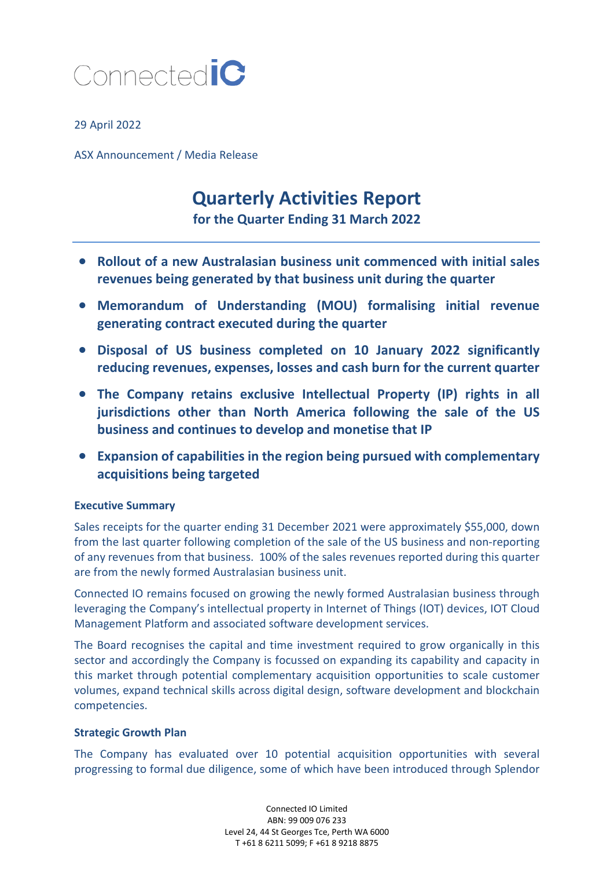

29 April 2022

ASX Announcement / Media Release

# **Quarterly Activities Report**

**for the Quarter Ending 31 March 2022**

- **Rollout of a new Australasian business unit commenced with initial sales revenues being generated by that business unit during the quarter**
- **Memorandum of Understanding (MOU) formalising initial revenue generating contract executed during the quarter**
- **Disposal of US business completed on 10 January 2022 significantly reducing revenues, expenses, losses and cash burn for the current quarter**
- **The Company retains exclusive Intellectual Property (IP) rights in all jurisdictions other than North America following the sale of the US business and continues to develop and monetise that IP**
- **Expansion of capabilities in the region being pursued with complementary acquisitions being targeted**

## **Executive Summary**

Sales receipts for the quarter ending 31 December 2021 were approximately \$55,000, down from the last quarter following completion of the sale of the US business and non-reporting of any revenues from that business. 100% of the sales revenues reported during this quarter are from the newly formed Australasian business unit.

Connected IO remains focused on growing the newly formed Australasian business through leveraging the Company's intellectual property in Internet of Things (IOT) devices, IOT Cloud Management Platform and associated software development services.

The Board recognises the capital and time investment required to grow organically in this sector and accordingly the Company is focussed on expanding its capability and capacity in this market through potential complementary acquisition opportunities to scale customer volumes, expand technical skills across digital design, software development and blockchain competencies.

## **Strategic Growth Plan**

The Company has evaluated over 10 potential acquisition opportunities with several progressing to formal due diligence, some of which have been introduced through Splendor

> Connected IO Limited ABN: 99 009 076 233 Level 24, 44 St Georges Tce, Perth WA 6000 T +61 8 6211 5099; F +61 8 9218 8875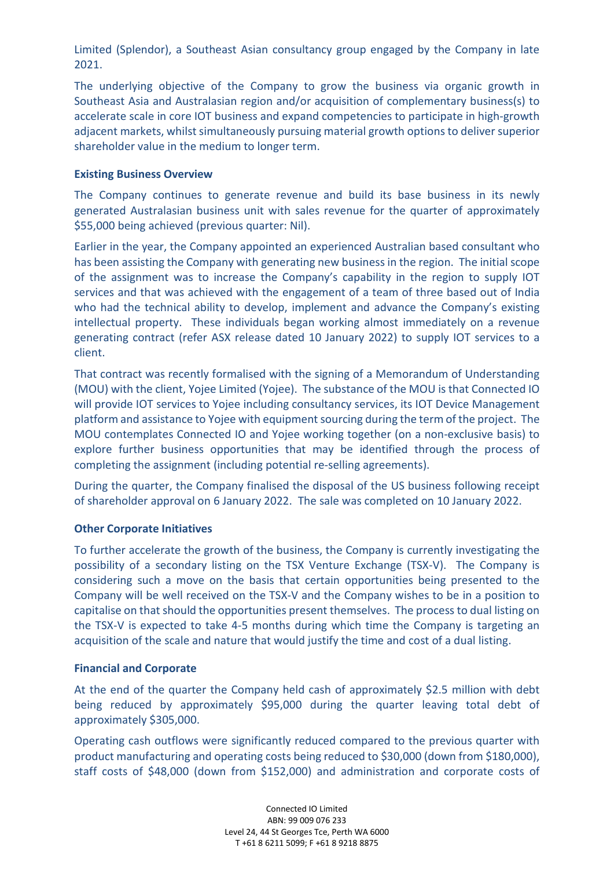Limited (Splendor), a Southeast Asian consultancy group engaged by the Company in late 2021.

The underlying objective of the Company to grow the business via organic growth in Southeast Asia and Australasian region and/or acquisition of complementary business(s) to accelerate scale in core IOT business and expand competencies to participate in high-growth adjacent markets, whilst simultaneously pursuing material growth optionsto deliver superior shareholder value in the medium to longer term.

## **Existing Business Overview**

The Company continues to generate revenue and build its base business in its newly generated Australasian business unit with sales revenue for the quarter of approximately \$55,000 being achieved (previous quarter: Nil).

Earlier in the year, the Company appointed an experienced Australian based consultant who has been assisting the Company with generating new business in the region. The initial scope of the assignment was to increase the Company's capability in the region to supply IOT services and that was achieved with the engagement of a team of three based out of India who had the technical ability to develop, implement and advance the Company's existing intellectual property. These individuals began working almost immediately on a revenue generating contract (refer ASX release dated 10 January 2022) to supply IOT services to a client.

That contract was recently formalised with the signing of a Memorandum of Understanding (MOU) with the client, Yojee Limited (Yojee). The substance of the MOU is that Connected IO will provide IOT services to Yojee including consultancy services, its IOT Device Management platform and assistance to Yojee with equipment sourcing during the term of the project. The MOU contemplates Connected IO and Yojee working together (on a non-exclusive basis) to explore further business opportunities that may be identified through the process of completing the assignment (including potential re-selling agreements).

During the quarter, the Company finalised the disposal of the US business following receipt of shareholder approval on 6 January 2022. The sale was completed on 10 January 2022.

## **Other Corporate Initiatives**

To further accelerate the growth of the business, the Company is currently investigating the possibility of a secondary listing on the TSX Venture Exchange (TSX-V). The Company is considering such a move on the basis that certain opportunities being presented to the Company will be well received on the TSX-V and the Company wishes to be in a position to capitalise on that should the opportunities present themselves. The process to dual listing on the TSX-V is expected to take 4-5 months during which time the Company is targeting an acquisition of the scale and nature that would justify the time and cost of a dual listing.

## **Financial and Corporate**

At the end of the quarter the Company held cash of approximately \$2.5 million with debt being reduced by approximately \$95,000 during the quarter leaving total debt of approximately \$305,000.

Operating cash outflows were significantly reduced compared to the previous quarter with product manufacturing and operating costs being reduced to \$30,000 (down from \$180,000), staff costs of \$48,000 (down from \$152,000) and administration and corporate costs of

> Connected IO Limited ABN: 99 009 076 233 Level 24, 44 St Georges Tce, Perth WA 6000 T +61 8 6211 5099; F +61 8 9218 8875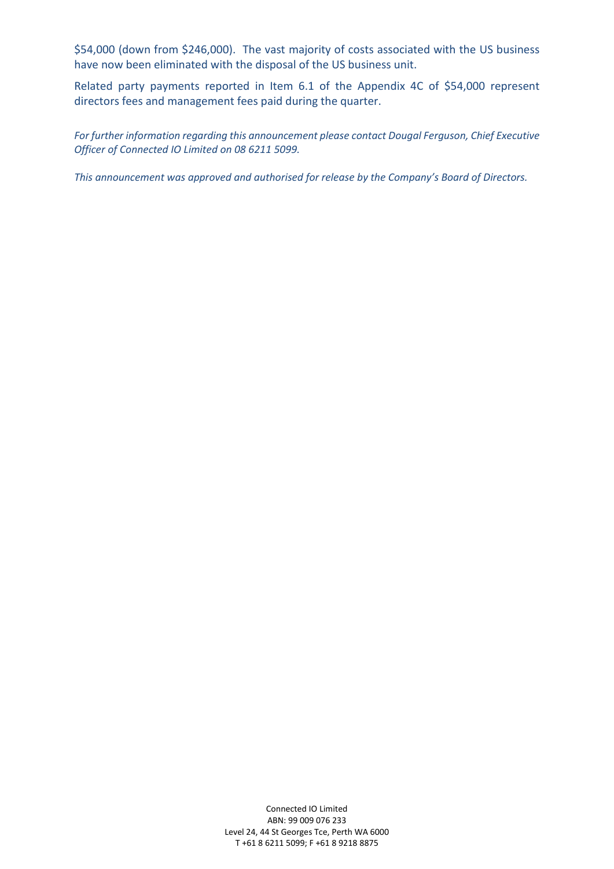\$54,000 (down from \$246,000). The vast majority of costs associated with the US business have now been eliminated with the disposal of the US business unit.

Related party payments reported in Item 6.1 of the Appendix 4C of \$54,000 represent directors fees and management fees paid during the quarter.

*For further information regarding this announcement please contact Dougal Ferguson, Chief Executive Officer of Connected IO Limited on 08 6211 5099.*

*This announcement was approved and authorised for release by the Company's Board of Directors.* 

Connected IO Limited ABN: 99 009 076 233 Level 24, 44 St Georges Tce, Perth WA 6000 T +61 8 6211 5099; F +61 8 9218 8875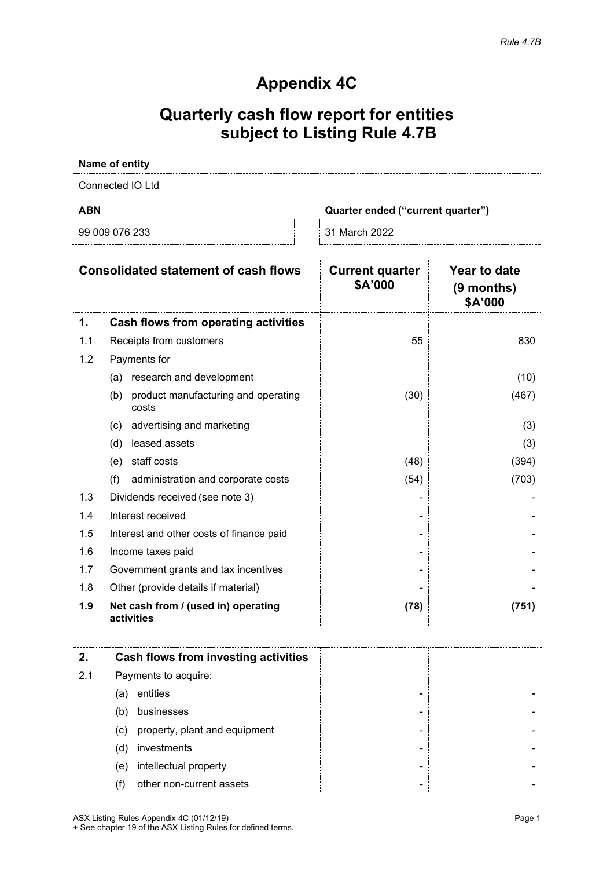## **Appendix 4C**

# **Quarterly cash flow report for entities subject to Listing Rule 4.7B**

## **Name of entity**

Connected IO Ltd

99 009 076 233 31 March 2022

**ABN Quarter ended ("current quarter")**

| <b>Consolidated statement of cash flows</b> |                                                     | <b>Current quarter</b><br>\$A'000 | Year to date<br>(9 months)<br>\$A'000 |
|---------------------------------------------|-----------------------------------------------------|-----------------------------------|---------------------------------------|
| 1.                                          | Cash flows from operating activities                |                                   |                                       |
| 1.1                                         | Receipts from customers                             | 55                                | 830                                   |
| 1.2                                         | Payments for                                        |                                   |                                       |
|                                             | research and development<br>(a)                     |                                   | (10)                                  |
|                                             | product manufacturing and operating<br>(b)<br>costs | (30)                              | (467)                                 |
|                                             | advertising and marketing<br>(c)                    |                                   | (3)                                   |
|                                             | leased assets<br>(d)                                |                                   | (3)                                   |
|                                             | staff costs<br>(e)                                  | (48)                              | (394)                                 |
|                                             | (f)<br>administration and corporate costs           | (54)                              | (703)                                 |
| 1.3                                         | Dividends received (see note 3)                     |                                   |                                       |
| 1.4                                         | Interest received                                   |                                   |                                       |
| 1.5                                         | Interest and other costs of finance paid            |                                   |                                       |
| 1.6                                         | Income taxes paid                                   |                                   |                                       |
| 1.7                                         | Government grants and tax incentives                |                                   |                                       |
| 1.8                                         | Other (provide details if material)                 |                                   |                                       |
| 1.9                                         | Net cash from / (used in) operating<br>activities   | (78)                              | (751)                                 |

|     |     | Cash flows from investing activities |
|-----|-----|--------------------------------------|
| 2.1 |     | Payments to acquire:                 |
|     | (a) | entities                             |
|     | (b) | businesses                           |
|     | (c) | property, plant and equipment        |
|     | (d) | investments                          |
|     | (e) | intellectual property                |
|     |     | other non-current assets             |

ASX Listing Rules Appendix 4C (01/12/19) Page 1 + See chapter 19 of the ASX Listing Rules for defined terms.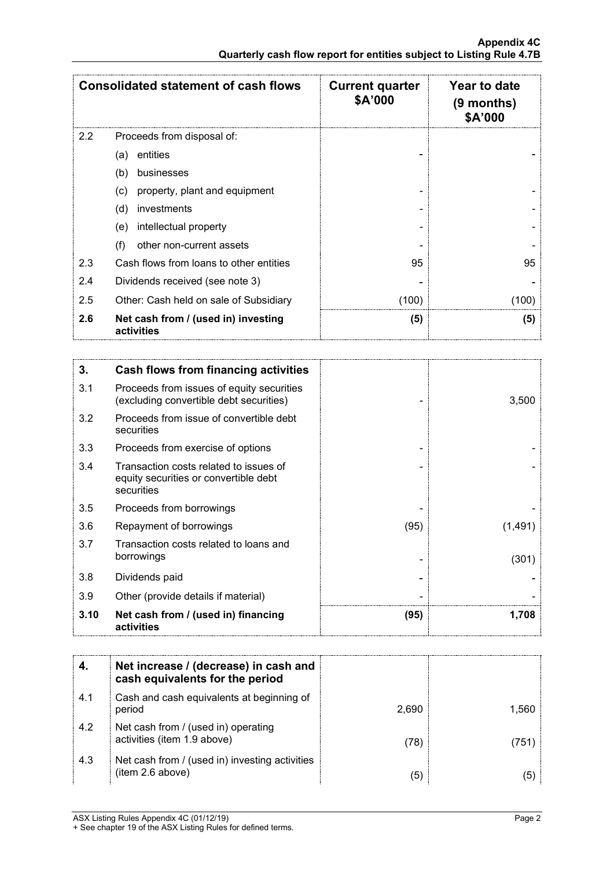|     | <b>Consolidated statement of cash flows</b>       | <b>Current quarter</b><br>\$A'000 | Year to date<br>$(9$ months)<br>\$A'000 |
|-----|---------------------------------------------------|-----------------------------------|-----------------------------------------|
| 2.2 | Proceeds from disposal of:                        |                                   |                                         |
|     | entities<br>(a)                                   |                                   |                                         |
|     | (b)<br>businesses                                 |                                   |                                         |
|     | property, plant and equipment<br>(c)              |                                   |                                         |
|     | (d)<br>investments                                |                                   |                                         |
|     | intellectual property<br>(e)                      |                                   |                                         |
|     | other non-current assets<br>(f)                   |                                   |                                         |
| 2.3 | Cash flows from loans to other entities           | 95                                | 95                                      |
| 2.4 | Dividends received (see note 3)                   |                                   |                                         |
| 2.5 | Other: Cash held on sale of Subsidiary            | (100)                             | (100)                                   |
| 2.6 | Net cash from / (used in) investing<br>activities | (5)                               | (5)                                     |

| 3.   | Cash flows from financing activities                                                          |      |         |
|------|-----------------------------------------------------------------------------------------------|------|---------|
| 3.1  | Proceeds from issues of equity securities<br>(excluding convertible debt securities)          |      | 3,500   |
| 3.2  | Proceeds from issue of convertible debt<br>securities                                         |      |         |
| 3.3  | Proceeds from exercise of options                                                             |      |         |
| 3.4  | Transaction costs related to issues of<br>equity securities or convertible debt<br>securities |      |         |
| 3.5  | Proceeds from borrowings                                                                      |      |         |
| 3.6  | Repayment of borrowings                                                                       | (95) | (1,491) |
| 3.7  | Transaction costs related to loans and<br>borrowings                                          |      | (301)   |
| 3.8  | Dividends paid                                                                                |      |         |
| 3.9  | Other (provide details if material)                                                           |      |         |
| 3.10 | Net cash from / (used in) financing<br>activities                                             | (95) | 1,708   |

|     | Net increase / (decrease) in cash and<br>cash equivalents for the period |       |       |
|-----|--------------------------------------------------------------------------|-------|-------|
| 4.1 | Cash and cash equivalents at beginning of<br>period                      | 2,690 | 1.560 |
| 4.2 | Net cash from / (used in) operating<br>activities (item 1.9 above)       | (78`  | 751   |
| 4.3 | Net cash from / (used in) investing activities<br>(item 2.6 above)       | (5    |       |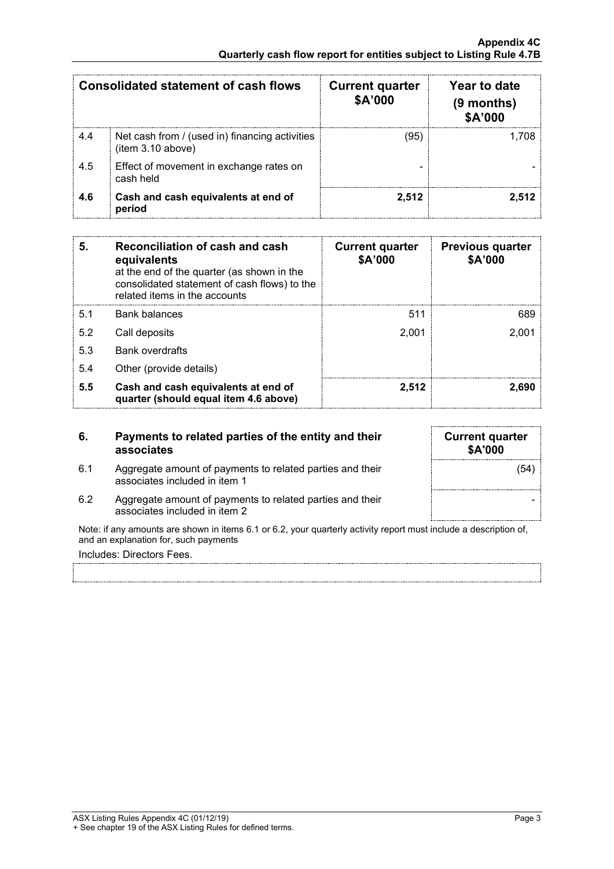| Consolidated statement of cash flows |                                                                     | <b>Current quarter</b><br>\$A'000 | Year to date<br>(9 months)<br>\$A'000 |
|--------------------------------------|---------------------------------------------------------------------|-----------------------------------|---------------------------------------|
| 4.4                                  | Net cash from / (used in) financing activities<br>(item 3.10 above) | '95                               |                                       |
| 4.5                                  | Effect of movement in exchange rates on<br>cash held                |                                   |                                       |
| 4.6                                  | Cash and cash equivalents at end of<br>period                       | 2.512                             | 2.512                                 |

| 5.  | Reconciliation of cash and cash<br>equivalents<br>at the end of the quarter (as shown in the<br>consolidated statement of cash flows) to the<br>related items in the accounts | <b>Current quarter</b><br>\$A'000 | <b>Previous quarter</b><br>\$A'000 |
|-----|-------------------------------------------------------------------------------------------------------------------------------------------------------------------------------|-----------------------------------|------------------------------------|
| 5.1 | Bank balances                                                                                                                                                                 | 511                               | 689                                |
| 5.2 | Call deposits                                                                                                                                                                 | 2.001                             | 2.001                              |
| 5.3 | <b>Bank overdrafts</b>                                                                                                                                                        |                                   |                                    |
| 5.4 | Other (provide details)                                                                                                                                                       |                                   |                                    |
| 5.5 | Cash and cash equivalents at end of<br>quarter (should equal item 4.6 above)                                                                                                  | 2,512                             | 2.690                              |

### **6. Payments to related parties of the entity and their associates**

6.1 Aggregate amount of payments to related parties and their associates included in item 1

| <b>Current quarter</b><br>\$A'000 |      |
|-----------------------------------|------|
|                                   | (54) |
|                                   |      |

6.2 Aggregate amount of payments to related parties and their associates included in item 2

Note: if any amounts are shown in items 6.1 or 6.2, your quarterly activity report must include a description of, and an explanation for, such payments

Includes: Directors Fees.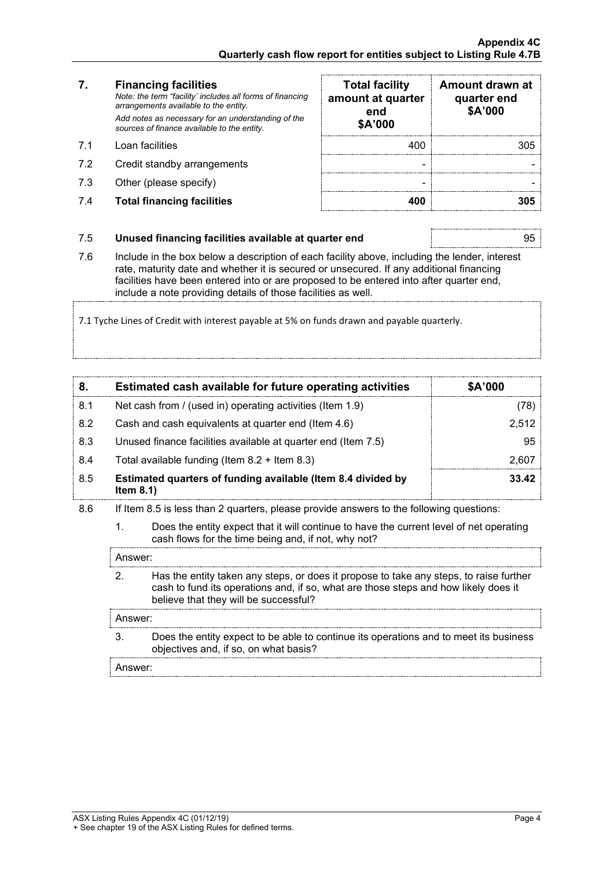### **7. Financing facilities**

- 
- 7.2 Credit standby arrangements
- 7.3 Other (please specify)
- 7.4 **Total financing facilities 400 305**

| 7.  | <b>Financing facilities</b><br>Note: the term "facility' includes all forms of financing<br>arrangements available to the entity.<br>Add notes as necessary for an understanding of the<br>sources of finance available to the entity. | <b>Total facility</b><br>amount at quarter<br>end<br>\$A'000 | Amount drawn at<br>quarter end<br>\$A'000 |
|-----|----------------------------------------------------------------------------------------------------------------------------------------------------------------------------------------------------------------------------------------|--------------------------------------------------------------|-------------------------------------------|
| 71  | Loan facilities                                                                                                                                                                                                                        | 400                                                          | 305                                       |
| 7.2 | Credit standby arrangements                                                                                                                                                                                                            |                                                              |                                           |
| 7.3 | Other (please specify)                                                                                                                                                                                                                 |                                                              |                                           |
| 7.4 | <b>Total financing facilities</b>                                                                                                                                                                                                      | 400                                                          |                                           |

### 7.5 **Unused financing facilities available at quarter end** 95

7.6 Include in the box below a description of each facility above, including the lender, interest rate, maturity date and whether it is secured or unsecured. If any additional financing facilities have been entered into or are proposed to be entered into after quarter end, include a note providing details of those facilities as well.

7.1 Tyche Lines of Credit with interest payable at 5% on funds drawn and payable quarterly.

|     | Estimated cash available for future operating activities                     | \$A'000 |
|-----|------------------------------------------------------------------------------|---------|
| 8.1 | Net cash from / (used in) operating activities (Item 1.9)                    | (78)    |
| 8.2 | Cash and cash equivalents at quarter end (Item 4.6)                          | 2.512   |
| 8.3 | Unused finance facilities available at quarter end (Item 7.5)                | 95      |
| 8.4 | Total available funding (Item $8.2 +$ Item $8.3$ )                           | 2.607   |
| 8.5 | Estimated quarters of funding available (Item 8.4 divided by<br>Item $8.1$ ) | 33.42   |

8.6 If Item 8.5 is less than 2 quarters, please provide answers to the following questions:

1. Does the entity expect that it will continue to have the current level of net operating cash flows for the time being and, if not, why not?

Answer:

2. Has the entity taken any steps, or does it propose to take any steps, to raise further cash to fund its operations and, if so, what are those steps and how likely does it believe that they will be successful?

### Answer:

3. Does the entity expect to be able to continue its operations and to meet its business objectives and, if so, on what basis?

Answer: